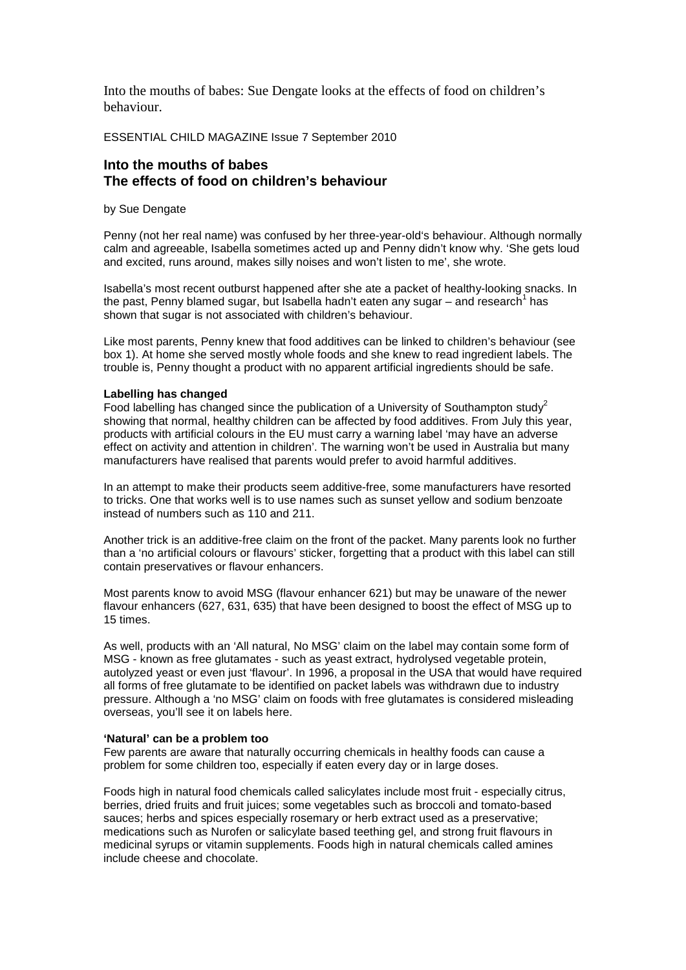Into the mouths of babes: Sue Dengate looks at the effects of food on children's behaviour.

ESSENTIAL CHILD MAGAZINE Issue 7 September 2010

# **Into the mouths of babes The effects of food on children's behaviour**

by Sue Dengate

Penny (not her real name) was confused by her three-year-old's behaviour. Although normally calm and agreeable, Isabella sometimes acted up and Penny didn't know why. 'She gets loud and excited, runs around, makes silly noises and won't listen to me', she wrote.

Isabella's most recent outburst happened after she ate a packet of healthy-looking snacks. In the past, Penny blamed sugar, but Isabella hadn't eaten any sugar  $-$  and research<sup>1</sup> has shown that sugar is not associated with children's behaviour.

Like most parents, Penny knew that food additives can be linked to children's behaviour (see box 1). At home she served mostly whole foods and she knew to read ingredient labels. The trouble is, Penny thought a product with no apparent artificial ingredients should be safe.

#### **Labelling has changed**

Food labelling has changed since the publication of a University of Southampton study<sup>2</sup> showing that normal, healthy children can be affected by food additives. From July this year, products with artificial colours in the EU must carry a warning label 'may have an adverse effect on activity and attention in children'. The warning won't be used in Australia but many manufacturers have realised that parents would prefer to avoid harmful additives.

In an attempt to make their products seem additive-free, some manufacturers have resorted to tricks. One that works well is to use names such as sunset yellow and sodium benzoate instead of numbers such as 110 and 211.

Another trick is an additive-free claim on the front of the packet. Many parents look no further than a 'no artificial colours or flavours' sticker, forgetting that a product with this label can still contain preservatives or flavour enhancers.

Most parents know to avoid MSG (flavour enhancer 621) but may be unaware of the newer flavour enhancers (627, 631, 635) that have been designed to boost the effect of MSG up to 15 times.

As well, products with an 'All natural, No MSG' claim on the label may contain some form of MSG - known as free glutamates - such as yeast extract, hydrolysed vegetable protein, autolyzed yeast or even just 'flavour'. In 1996, a proposal in the USA that would have required all forms of free glutamate to be identified on packet labels was withdrawn due to industry pressure. Although a 'no MSG' claim on foods with free glutamates is considered misleading overseas, you'll see it on labels here.

#### **'Natural' can be a problem too**

Few parents are aware that naturally occurring chemicals in healthy foods can cause a problem for some children too, especially if eaten every day or in large doses.

Foods high in natural food chemicals called salicylates include most fruit - especially citrus, berries, dried fruits and fruit juices; some vegetables such as broccoli and tomato-based sauces; herbs and spices especially rosemary or herb extract used as a preservative; medications such as Nurofen or salicylate based teething gel, and strong fruit flavours in medicinal syrups or vitamin supplements. Foods high in natural chemicals called amines include cheese and chocolate.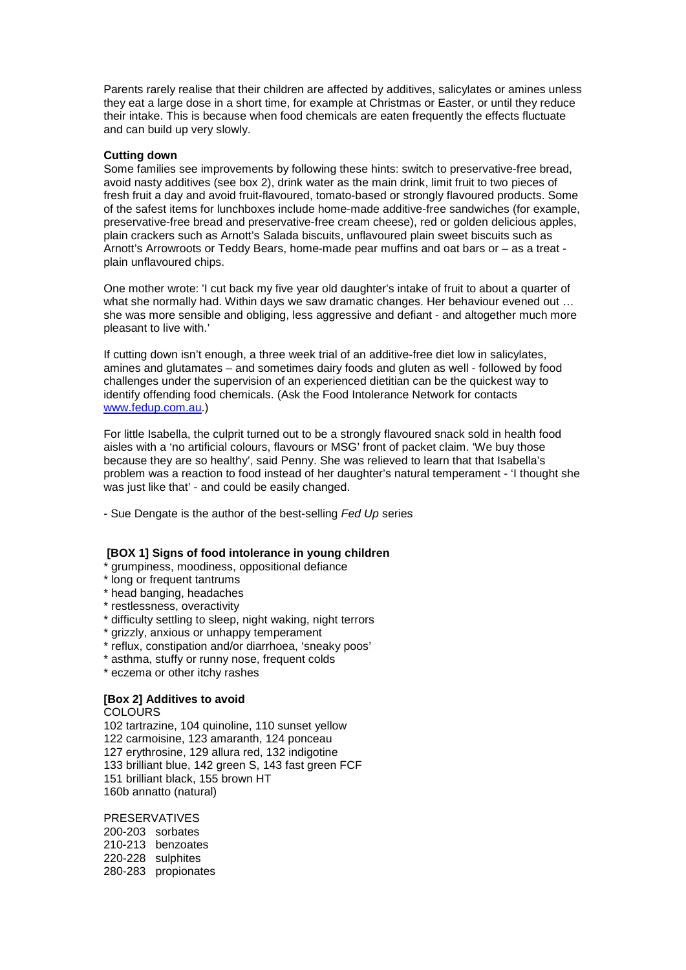Parents rarely realise that their children are affected by additives, salicylates or amines unless they eat a large dose in a short time, for example at Christmas or Easter, or until they reduce their intake. This is because when food chemicals are eaten frequently the effects fluctuate and can build up very slowly.

## **Cutting down**

Some families see improvements by following these hints: switch to preservative-free bread, avoid nasty additives (see box 2), drink water as the main drink, limit fruit to two pieces of fresh fruit a day and avoid fruit-flavoured, tomato-based or strongly flavoured products. Some of the safest items for lunchboxes include home-made additive-free sandwiches (for example, preservative-free bread and preservative-free cream cheese), red or golden delicious apples, plain crackers such as Arnott's Salada biscuits, unflavoured plain sweet biscuits such as Arnott's Arrowroots or Teddy Bears, home-made pear muffins and oat bars or – as a treat plain unflavoured chips.

One mother wrote: 'I cut back my five year old daughter's intake of fruit to about a quarter of what she normally had. Within days we saw dramatic changes. Her behaviour evened out … she was more sensible and obliging, less aggressive and defiant - and altogether much more pleasant to live with.'

If cutting down isn't enough, a three week trial of an additive-free diet low in salicylates, amines and glutamates – and sometimes dairy foods and gluten as well - followed by food challenges under the supervision of an experienced dietitian can be the quickest way to identify offending food chemicals. (Ask the Food Intolerance Network for contacts [www.fedup.com.au.](http://www.fedup.com.au/))

For little Isabella, the culprit turned out to be a strongly flavoured snack sold in health food aisles with a 'no artificial colours, flavours or MSG' front of packet claim. 'We buy those because they are so healthy', said Penny. She was relieved to learn that that Isabella's problem was a reaction to food instead of her daughter's natural temperament - 'I thought she was just like that' - and could be easily changed.

- Sue Dengate is the author of the best-selling *Fed Up* series

## **[BOX 1] Signs of food intolerance in young children**

\* grumpiness, moodiness, oppositional defiance

- \* long or frequent tantrums
- \* head banging, headaches
- \* restlessness, overactivity
- \* difficulty settling to sleep, night waking, night terrors
- \* grizzly, anxious or unhappy temperament
- \* reflux, constipation and/or diarrhoea, 'sneaky poos'
- \* asthma, stuffy or runny nose, frequent colds
- \* eczema or other itchy rashes

# **[Box 2] Additives to avoid**

**COLOURS** 102 tartrazine, 104 quinoline, 110 sunset yellow 122 carmoisine, 123 amaranth, 124 ponceau 127 erythrosine, 129 allura red, 132 indigotine 133 brilliant blue, 142 green S, 143 fast green FCF 151 brilliant black, 155 brown HT 160b annatto (natural)

PRESERVATIVES 200-203 sorbates 210-213 benzoates 220-228 sulphites 280-283 propionates